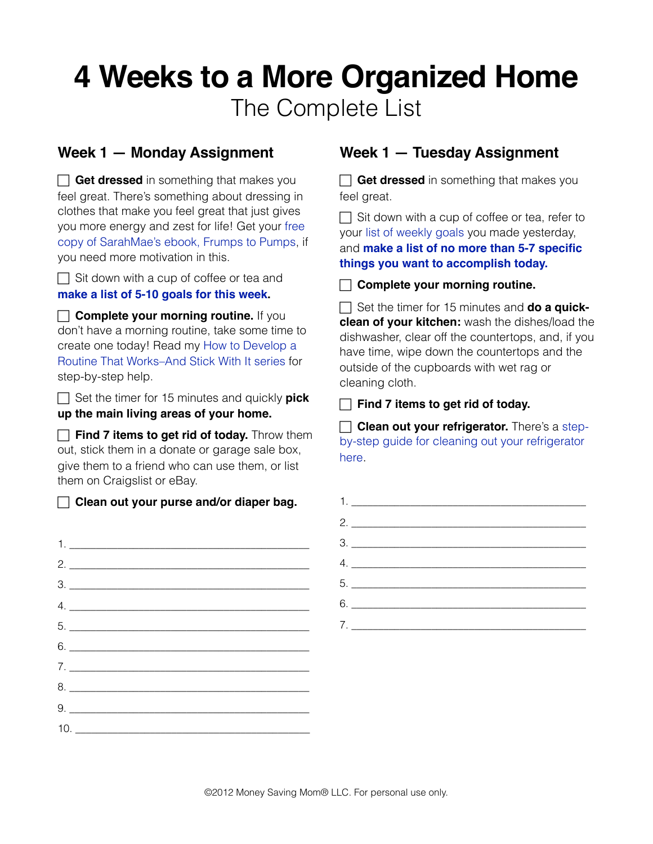# **4 Weeks to a More Organized Home** The Complete List

#### **Week 1 — Monday Assignment**

**Get dressed** in something that makes you feel great. There's something about dressing in clothes that make you feel great that just gives you more energy and zest for life! Get your [free](http://sarahmae.com/stretchingintoblue/)  [copy of SarahMae's ebook, Frumps to Pumps,](http://sarahmae.com/stretchingintoblue/) if you need more motivation in this.

 $\Box$  Sit down with a cup of coffee or tea and **[make a list of 5-10 goals for this week.](http://moneysavingmom.com/tag/10-weekly-goals)**

**Complete your morning routine.** If you don't have a morning routine, take some time to create one today! Read my [How to Develop a](http://moneysavingmom.com/tag/how-to-develop-a-routine)  [Routine That Works–And Stick With It series](http://moneysavingmom.com/tag/how-to-develop-a-routine) for step-by-step help.

□ Set the timer for 15 minutes and quickly **pick up the main living areas of your home.**

**Find 7 items to get rid of today.** Throw them out, stick them in a donate or garage sale box, give them to a friend who can use them, or list them on Craigslist or eBay.

**Clean out your purse and/or diaper bag.**

| $2.$ $\overline{\phantom{a}}$                                            |  |
|--------------------------------------------------------------------------|--|
| $\frac{3}{2}$                                                            |  |
|                                                                          |  |
|                                                                          |  |
| $6. \underline{\hspace{1.5cm}}$                                          |  |
| $7. \_$                                                                  |  |
|                                                                          |  |
| 9.                                                                       |  |
| $\begin{array}{c}\n10. \quad \textcolor{blue}{\textbf{10}}\n\end{array}$ |  |
|                                                                          |  |

### **Week 1 — Tuesday Assignment**

**Get dressed** in something that makes you feel great.

 $\Box$  Sit down with a cup of coffee or tea, refer to your [list of weekly goals](http://moneysavingmom.com/2012/04/10-weekly-goals-11.html) you made yesterday, and **[make a list of no more than 5-7 specific](http://moneysavingmom.com/2012/02/my-top-3-tips-for-getting-stuff-done.html)  [things you want to accomplish today.](http://moneysavingmom.com/2012/02/my-top-3-tips-for-getting-stuff-done.html)**

**Complete your morning routine.**

□ Set the timer for 15 minutes and **do a quickclean of your kitchen:** wash the dishes/load the dishwasher, clear off the countertops, and, if you have time, wipe down the countertops and the outside of the cupboards with wet rag or cleaning cloth.

**Find 7 items to get rid of today.**

**Clean out your refrigerator.** There's a [step](http://www.housecleaningcentral.com/en/cleaning-tips/kitchen/refrigerator-cleaning.html)[by-step guide for cleaning out your refrigerator](http://www.housecleaningcentral.com/en/cleaning-tips/kitchen/refrigerator-cleaning.html)  [here](http://www.housecleaningcentral.com/en/cleaning-tips/kitchen/refrigerator-cleaning.html).

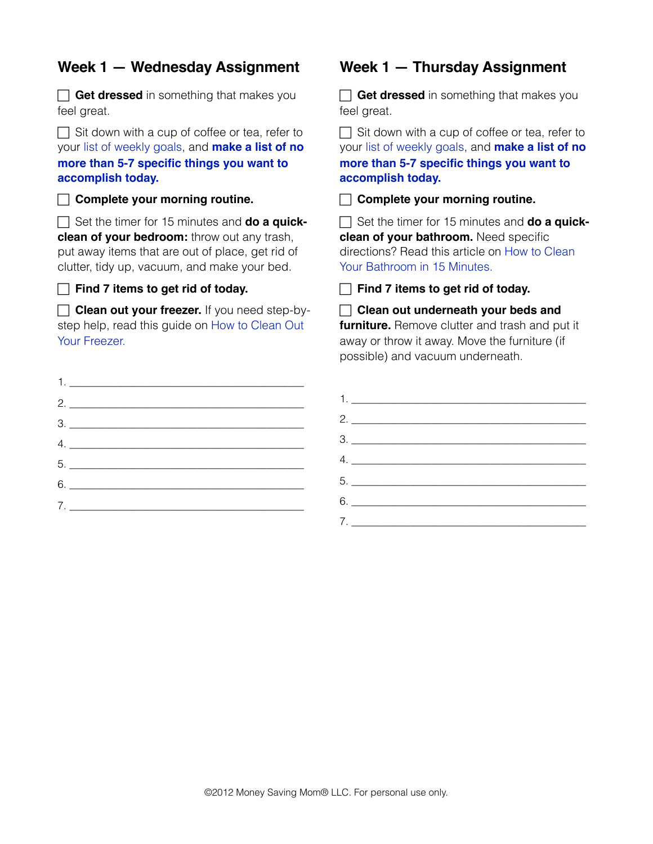#### **Week 1 — Wednesday Assignment**

**Get dressed** in something that makes you feel great.

 $\Box$  Sit down with a cup of coffee or tea, refer to your [list of weekly goals,](http://moneysavingmom.com/2012/04/10-weekly-goals-11.html) and **[make a list of no](http://moneysavingmom.com/2012/02/my-top-3-tips-for-getting-stuff-done.html)  [more than 5-7 specific things you want to](http://moneysavingmom.com/2012/02/my-top-3-tips-for-getting-stuff-done.html)  [accomplish today.](http://moneysavingmom.com/2012/02/my-top-3-tips-for-getting-stuff-done.html)**

**Complete your morning routine.**

 Set the timer for 15 minutes and **do a quickclean of your bedroom:** throw out any trash, put away items that are out of place, get rid of clutter, tidy up, vacuum, and make your bed.

Find 7 items to get rid of today.

**Clean out your freezer.** If you need step-bystep help, read this guide on [How to Clean Out](http://www.howtocleanstuff.net/how-to-clean-a-freezer/)  [Your Freezer.](http://www.howtocleanstuff.net/how-to-clean-a-freezer/)

| 2.                                  |
|-------------------------------------|
| $\begin{array}{c}\n3.\n\end{array}$ |
|                                     |
|                                     |
| $6. \underline{\hspace{2cm}}$       |
|                                     |
|                                     |

#### **Week 1 — Thursday Assignment**

**Get dressed** in something that makes you feel great.

 $\Box$  Sit down with a cup of coffee or tea, refer to your [list of weekly goals](http://moneysavingmom.com/2012/04/10-weekly-goals-11.html), and **[make a list of no](http://moneysavingmom.com/2012/02/my-top-3-tips-for-getting-stuff-done.html)  [more than 5-7 specific things you want to](http://moneysavingmom.com/2012/02/my-top-3-tips-for-getting-stuff-done.html)  [accomplish today.](http://moneysavingmom.com/2012/02/my-top-3-tips-for-getting-stuff-done.html)**

**Complete your morning routine.**

□ Set the timer for 15 minutes and **do a quickclean of your bathroom.** Need specific directions? Read this article on [How to Clean](http://www.creativehomemaking.com/articles/010403b.shtml)  [Your Bathroom in 15 Minutes.](http://www.creativehomemaking.com/articles/010403b.shtml)

**Find 7 items to get rid of today.**

#### **Clean out underneath your beds and**

**furniture.** Remove clutter and trash and put it away or throw it away. Move the furniture (if possible) and vacuum underneath.

| $\begin{array}{c}\n3. \quad \textcolor{blue}{\textbf{12.12}}\n\end{array}$                                                                                                                                                                                                                                                                                          |
|---------------------------------------------------------------------------------------------------------------------------------------------------------------------------------------------------------------------------------------------------------------------------------------------------------------------------------------------------------------------|
| $\begin{picture}(20,10) \put(0,0){\vector(1,0){100}} \put(15,0){\vector(1,0){100}} \put(15,0){\vector(1,0){100}} \put(15,0){\vector(1,0){100}} \put(15,0){\vector(1,0){100}} \put(15,0){\vector(1,0){100}} \put(15,0){\vector(1,0){100}} \put(15,0){\vector(1,0){100}} \put(15,0){\vector(1,0){100}} \put(15,0){\vector(1,0){100}} \put(15,0){\vector(1,0){100}} \$ |
|                                                                                                                                                                                                                                                                                                                                                                     |
|                                                                                                                                                                                                                                                                                                                                                                     |
| $7. \_$                                                                                                                                                                                                                                                                                                                                                             |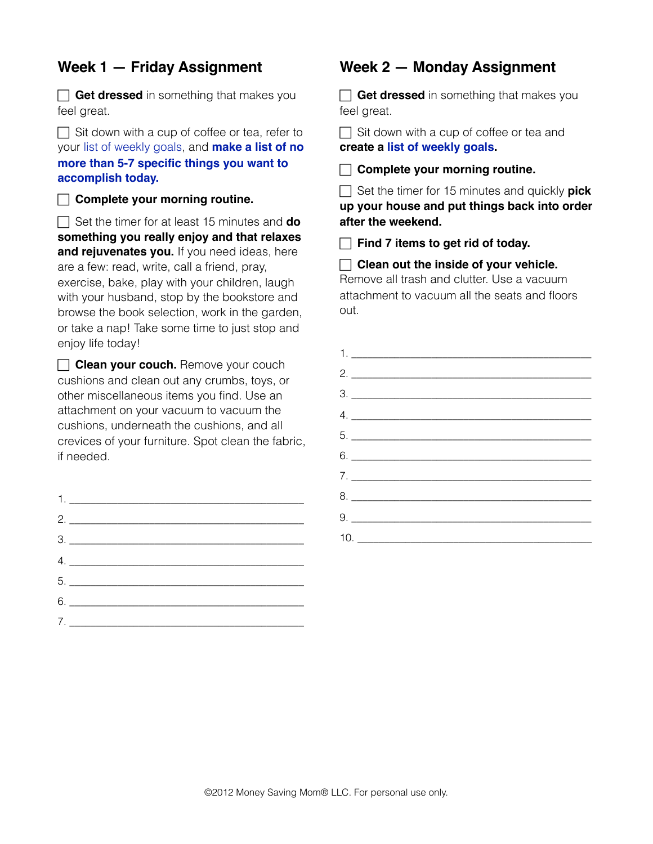#### **Week 1 — Friday Assignment**

**Get dressed** in something that makes you feel great.

 $\Box$  Sit down with a cup of coffee or tea, refer to your [list of weekly goals,](http://moneysavingmom.com/2012/04/10-weekly-goals-11.html) and **[make a list of no](http://moneysavingmom.com/2012/02/my-top-3-tips-for-getting-stuff-done.html)  [more than 5-7 specific things you want to](http://moneysavingmom.com/2012/02/my-top-3-tips-for-getting-stuff-done.html)  [accomplish today.](http://moneysavingmom.com/2012/02/my-top-3-tips-for-getting-stuff-done.html)**

**Complete your morning routine.**

 $\Box$  Set the timer for at least 15 minutes and **do something you really enjoy and that relaxes**  and rejuvenates you. If you need ideas, here are a few: read, write, call a friend, pray, exercise, bake, play with your children, laugh with your husband, stop by the bookstore and browse the book selection, work in the garden, or take a nap! Take some time to just stop and enjoy life today!

**Clean your couch.** Remove your couch cushions and clean out any crumbs, toys, or other miscellaneous items you find. Use an attachment on your vacuum to vacuum the cushions, underneath the cushions, and all crevices of your furniture. Spot clean the fabric, if needed.

| 2.                                                                     |  |
|------------------------------------------------------------------------|--|
| $\begin{array}{c} \n3. \begin{array}{ccc} \n\end{array} \n\end{array}$ |  |
|                                                                        |  |
|                                                                        |  |
| $6.$                                                                   |  |
|                                                                        |  |

#### **Week 2 — Monday Assignment**

**Get dressed** in something that makes you feel great.

 $\Box$  Sit down with a cup of coffee or tea and **create a [list of weekly goals.](http://www.moneysavingmom.com/2012/04/10-weekly-goals-11.html)** 

**Complete your morning routine.**

 Set the timer for 15 minutes and quickly **pick up your house and put things back into order after the weekend.**

**Find 7 items to get rid of today.**

 **Clean out the inside of your vehicle.** Remove all trash and clutter. Use a vacuum attachment to vacuum all the seats and floors out.

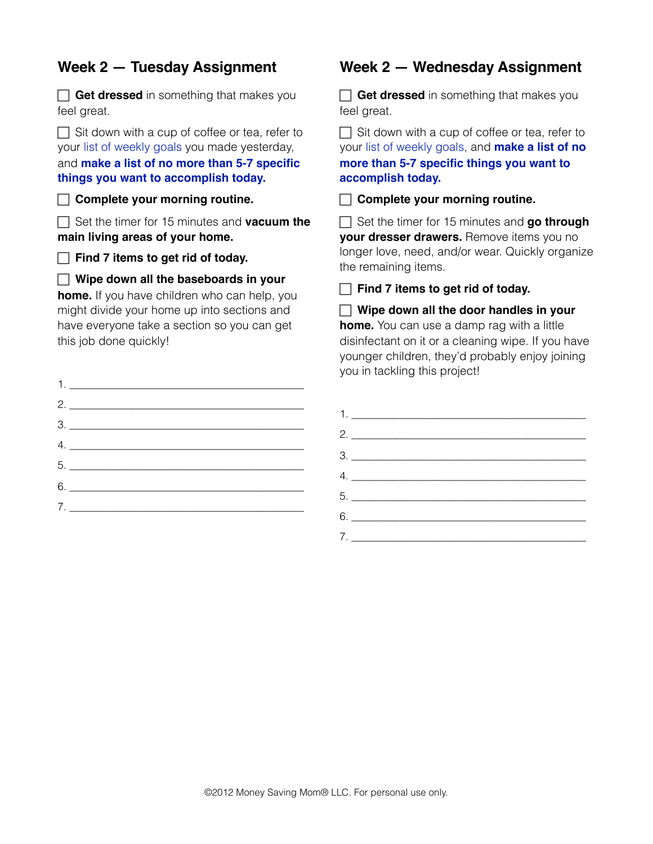#### **Week 2 — Tuesday Assignment**

**Get dressed** in something that makes you feel great.

 $\Box$  Sit down with a cup of coffee or tea, refer to your [list of weekly goals](http://moneysavingmom.com/2012/04/10-weekly-goals-11.html) you made yesterday, and **[make a list of no more than 5-7 specific](http://moneysavingmom.com/2012/02/my-top-3-tips-for-getting-stuff-done.html)  [things you want to accomplish today.](http://moneysavingmom.com/2012/02/my-top-3-tips-for-getting-stuff-done.html)**

**Complete your morning routine.**

 Set the timer for 15 minutes and **vacuum the main living areas of your home.**

**Find 7 items to get rid of today.**

**Wipe down all the baseboards in your** 

**home.** If you have children who can help, you might divide your home up into sections and have everyone take a section so you can get this job done quickly!

| 2.                                                                                                                                                                                                                                                                                                                                                                                                    |
|-------------------------------------------------------------------------------------------------------------------------------------------------------------------------------------------------------------------------------------------------------------------------------------------------------------------------------------------------------------------------------------------------------|
| $\begin{array}{c}\n3.\n\end{array}$                                                                                                                                                                                                                                                                                                                                                                   |
| $\begin{picture}(20,10) \put(0,0){\dashbox{0.5}(5,0){ }} \put(15,0){\circle{1}} \put(15,0){\circle{1}} \put(15,0){\circle{1}} \put(15,0){\circle{1}} \put(15,0){\circle{1}} \put(15,0){\circle{1}} \put(15,0){\circle{1}} \put(15,0){\circle{1}} \put(15,0){\circle{1}} \put(15,0){\circle{1}} \put(15,0){\circle{1}} \put(15,0){\circle{1}} \put(15,0){\circle{1}} \put(15,0){\circle{1}} \put(15,0$ |
| 5.                                                                                                                                                                                                                                                                                                                                                                                                    |
| $6. \underline{\hspace{1.5cm}}$                                                                                                                                                                                                                                                                                                                                                                       |
| 7.                                                                                                                                                                                                                                                                                                                                                                                                    |
|                                                                                                                                                                                                                                                                                                                                                                                                       |

#### **Week 2 — Wednesday Assignment**

**Get dressed** in something that makes you feel great.

 $\Box$  Sit down with a cup of coffee or tea, refer to your [list of weekly goals](http://moneysavingmom.com/2012/04/10-weekly-goals-11.html), and **[make a list of no](http://moneysavingmom.com/2012/02/my-top-3-tips-for-getting-stuff-done.html)  [more than 5-7 specific things you want to](http://moneysavingmom.com/2012/02/my-top-3-tips-for-getting-stuff-done.html)  [accomplish today.](http://moneysavingmom.com/2012/02/my-top-3-tips-for-getting-stuff-done.html)**

**Complete your morning routine.**

 Set the timer for 15 minutes and **go through your dresser drawers.** Remove items you no longer love, need, and/or wear. Quickly organize the remaining items.

**Find 7 items to get rid of today.** 

 **Wipe down all the door handles in your home.** You can use a damp rag with a little disinfectant on it or a cleaning wipe. If you have younger children, they'd probably enjoy joining you in tackling this project!

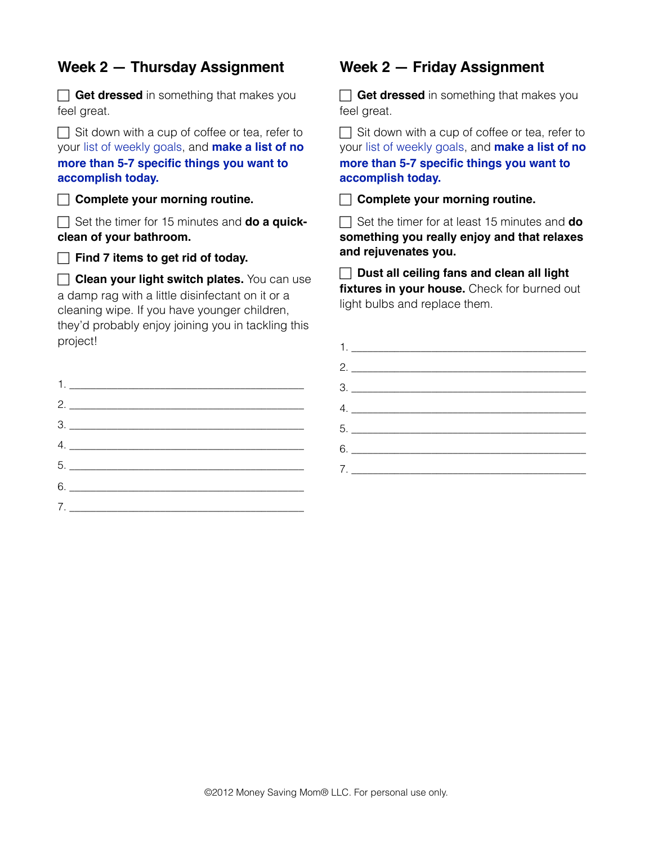#### **Week 2 — Thursday Assignment**

**Get dressed** in something that makes you feel great.

 $\Box$  Sit down with a cup of coffee or tea, refer to your [list of weekly goals,](http://moneysavingmom.com/2012/04/10-weekly-goals-11.html) and **[make a list of no](http://moneysavingmom.com/2012/02/my-top-3-tips-for-getting-stuff-done.html)  [more than 5-7 specific things you want to](http://moneysavingmom.com/2012/02/my-top-3-tips-for-getting-stuff-done.html)  [accomplish today.](http://moneysavingmom.com/2012/02/my-top-3-tips-for-getting-stuff-done.html)**

**Complete your morning routine.**

 Set the timer for 15 minutes and **do a quickclean of your bathroom.**

**Find 7 items to get rid of today.** 

**Clean your light switch plates.** You can use a damp rag with a little disinfectant on it or a cleaning wipe. If you have younger children, they'd probably enjoy joining you in tackling this project!

| 2.                            |
|-------------------------------|
|                               |
| 4.                            |
|                               |
| $6. \underline{\hspace{2cm}}$ |
| 7.                            |
|                               |

#### **Week 2 — Friday Assignment**

**Get dressed** in something that makes you feel great.

 $\Box$  Sit down with a cup of coffee or tea, refer to your [list of weekly goals](http://moneysavingmom.com/2012/04/10-weekly-goals-11.html), and **[make a list of no](http://moneysavingmom.com/2012/02/my-top-3-tips-for-getting-stuff-done.html)  [more than 5-7 specific things you want to](http://moneysavingmom.com/2012/02/my-top-3-tips-for-getting-stuff-done.html)  [accomplish today.](http://moneysavingmom.com/2012/02/my-top-3-tips-for-getting-stuff-done.html)**

**Complete your morning routine.**

 Set the timer for at least 15 minutes and **do something you really enjoy and that relaxes and rejuvenates you.**

 **Dust all ceiling fans and clean all light fixtures in your house.** Check for burned out light bulbs and replace them.

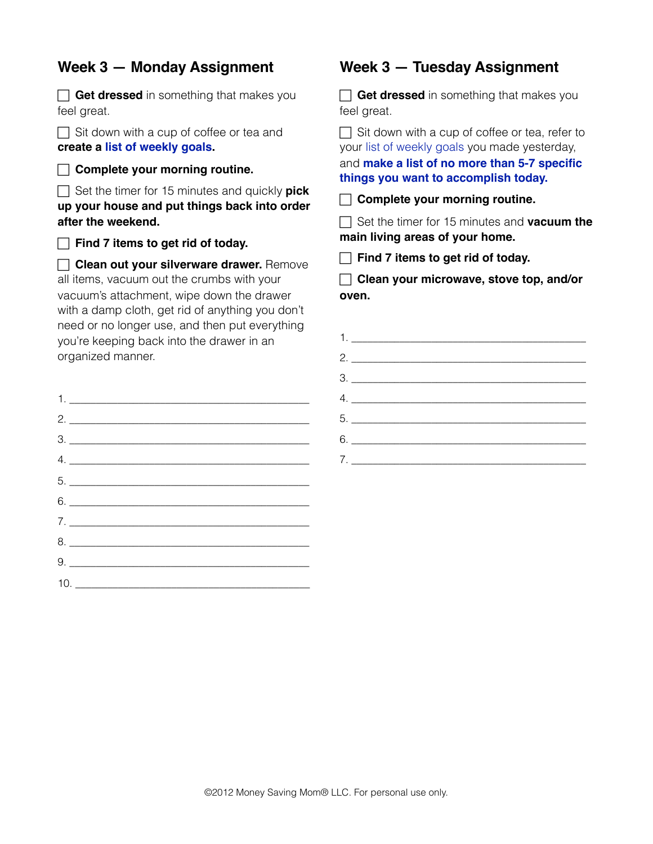#### **Week 3 — Monday Assignment**

**Get dressed** in something that makes you feel great.  $\Box$  Sit down with a cup of coffee or tea and **create a [list of weekly goals.](http://www.moneysavingmom.com/2012/04/10-weekly-goals-11.html) Complete your morning routine.** Set the timer for 15 minutes and quickly **pick up your house and put things back into order after the weekend. Find 7 items to get rid of today. Clean out your silverware drawer.** Remove all items, vacuum out the crumbs with your vacuum's attachment, wipe down the drawer with a damp cloth, get rid of anything you don't need or no longer use, and then put everything you're keeping back into the drawer in an organized manner.  $1.$ 2. \_\_\_\_\_\_\_\_\_\_\_\_\_\_\_\_\_\_\_\_\_\_\_\_\_\_\_\_\_\_\_\_\_\_\_\_\_\_\_\_\_\_\_\_\_ 3. \_\_\_\_\_\_\_\_\_\_\_\_\_\_\_\_\_\_\_\_\_\_\_\_\_\_\_\_\_\_\_\_\_\_\_\_\_\_\_\_\_\_\_\_\_  $4.$ 5.  $6.$ 7. \_\_\_\_\_\_\_\_\_\_\_\_\_\_\_\_\_\_\_\_\_\_\_\_\_\_\_\_\_\_\_\_\_\_\_\_\_\_\_\_\_\_\_\_\_ 8. \_\_\_\_\_\_\_\_\_\_\_\_\_\_\_\_\_\_\_\_\_\_\_\_\_\_\_\_\_\_\_\_\_\_\_\_\_\_\_\_\_\_\_\_\_

 $9.$ 

10. \_\_\_\_\_\_\_\_\_\_\_\_\_\_\_\_\_\_\_\_\_\_\_\_\_\_\_\_\_\_\_\_\_\_\_\_\_\_\_\_\_\_\_\_

#### **Week 3 — Tuesday Assignment**

**Get dressed** in something that makes you feel great.

 $\Box$  Sit down with a cup of coffee or tea, refer to your [list of weekly goals](http://moneysavingmom.com/2012/04/10-weekly-goals-11.html) you made yesterday, and **[make a list of no more than 5-7 specific](http://moneysavingmom.com/2012/02/my-top-3-tips-for-getting-stuff-done.html)  [things you want to accomplish today.](http://moneysavingmom.com/2012/02/my-top-3-tips-for-getting-stuff-done.html)**

**Complete your morning routine.**

 Set the timer for 15 minutes and **vacuum the main living areas of your home.**

| $\Box$ Find 7 items to get rid of today. |  |
|------------------------------------------|--|
|------------------------------------------|--|

 **Clean your microwave, stove top, and/or oven.**

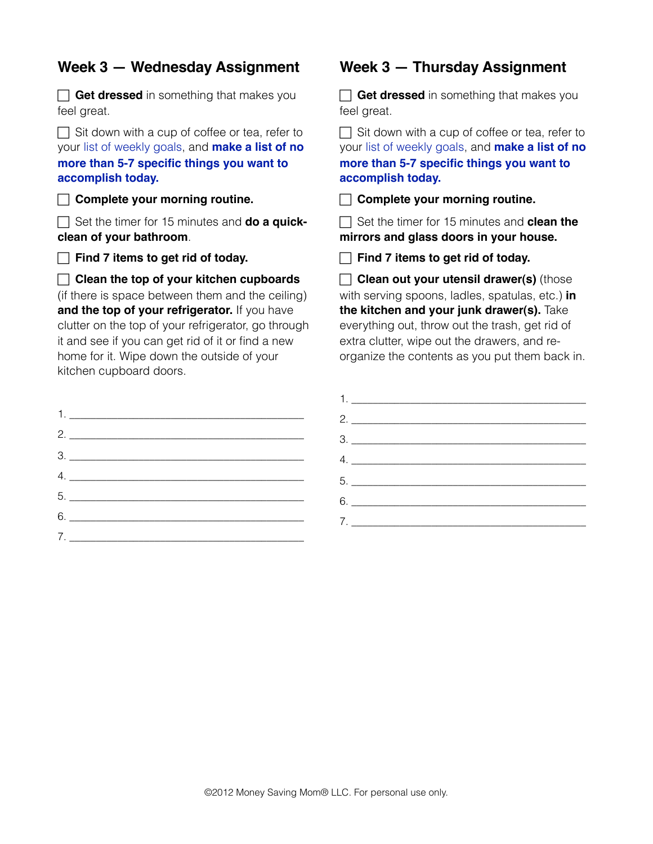#### **Week 3 — Wednesday Assignment**

**Get dressed** in something that makes you feel great.

 $\Box$  Sit down with a cup of coffee or tea, refer to your [list of weekly goals,](http://moneysavingmom.com/2012/04/10-weekly-goals-11.html) and **[make a list of no](http://moneysavingmom.com/2012/02/my-top-3-tips-for-getting-stuff-done.html)  [more than 5-7 specific things you want to](http://moneysavingmom.com/2012/02/my-top-3-tips-for-getting-stuff-done.html)  [accomplish today.](http://moneysavingmom.com/2012/02/my-top-3-tips-for-getting-stuff-done.html)**

**Complete your morning routine.**

 Set the timer for 15 minutes and **do a quickclean of your bathroom**.

**Find 7 items to get rid of today.** 

 **Clean the top of your kitchen cupboards** (if there is space between them and the ceiling) and the top of your refrigerator. If you have clutter on the top of your refrigerator, go through it and see if you can get rid of it or find a new home for it. Wipe down the outside of your kitchen cupboard doors.

| 2.                                  |
|-------------------------------------|
| $\begin{array}{c}\n3.\n\end{array}$ |
| 4.                                  |
|                                     |
|                                     |
| 7.                                  |

#### **Week 3 — Thursday Assignment**

**Get dressed** in something that makes you feel great.

 $\Box$  Sit down with a cup of coffee or tea, refer to your [list of weekly goals](http://moneysavingmom.com/2012/04/10-weekly-goals-11.html), and **[make a list of no](http://moneysavingmom.com/2012/02/my-top-3-tips-for-getting-stuff-done.html)  [more than 5-7 specific things you want to](http://moneysavingmom.com/2012/02/my-top-3-tips-for-getting-stuff-done.html)  [accomplish today.](http://moneysavingmom.com/2012/02/my-top-3-tips-for-getting-stuff-done.html)**

**Complete your morning routine.**

 Set the timer for 15 minutes and **clean the mirrors and glass doors in your house.**

**Find 7 items to get rid of today.** 

**Clean out your utensil drawer(s)** (those with serving spoons, ladles, spatulas, etc.) **in the kitchen and your junk drawer(s).** Take everything out, throw out the trash, get rid of extra clutter, wipe out the drawers, and reorganize the contents as you put them back in.

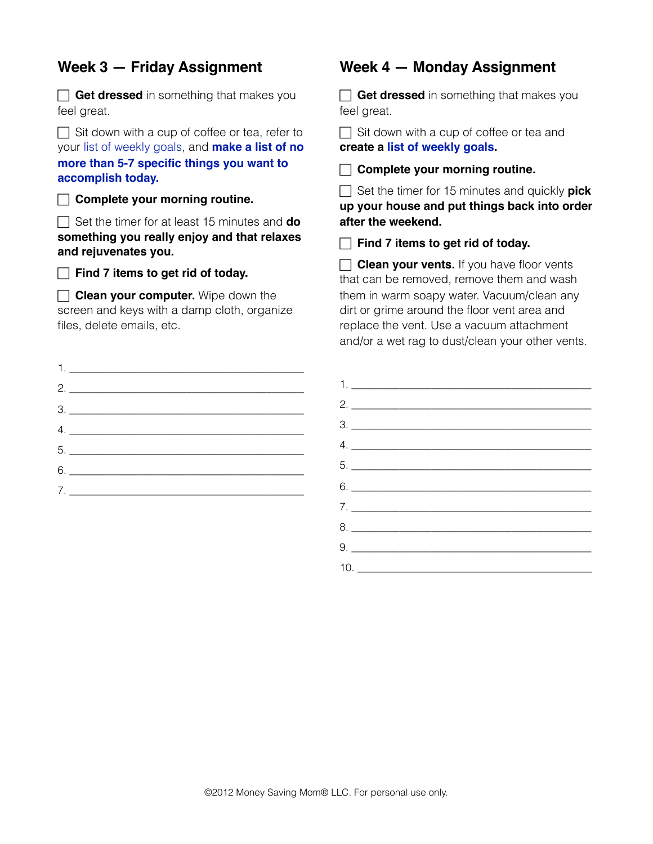#### **Week 3 — Friday Assignment**

**Get dressed** in something that makes you feel great.

 $\Box$  Sit down with a cup of coffee or tea, refer to your [list of weekly goals,](http://moneysavingmom.com/2012/04/10-weekly-goals-11.html) and **[make a list of no](http://moneysavingmom.com/2012/02/my-top-3-tips-for-getting-stuff-done.html)  [more than 5-7 specific things you want to](http://moneysavingmom.com/2012/02/my-top-3-tips-for-getting-stuff-done.html)  [accomplish today.](http://moneysavingmom.com/2012/02/my-top-3-tips-for-getting-stuff-done.html)**

**Complete your morning routine.**

 Set the timer for at least 15 minutes and **do something you really enjoy and that relaxes and rejuvenates you.**

**Find 7 items to get rid of today.** 

**Clean your computer.** Wipe down the screen and keys with a damp cloth, organize files, delete emails, etc.

| Week 4 — |  | <b>Monday Assignment</b> |
|----------|--|--------------------------|
|----------|--|--------------------------|

**Get dressed** in something that makes you feel great.

Sit down with a cup of coffee or tea and **create a [list of weekly goals.](http://www.moneysavingmom.com/2012/04/10-weekly-goals-11.html)** 

**Complete your morning routine.**

 Set the timer for 15 minutes and quickly **pick up your house and put things back into order after the weekend.**

**Find 7 items to get rid of today.** 

**Clean your vents.** If you have floor vents that can be removed, remove them and wash them in warm soapy water. Vacuum/clean any dirt or grime around the floor vent area and replace the vent. Use a vacuum attachment and/or a wet rag to dust/clean your other vents.

| 4.                              |
|---------------------------------|
|                                 |
| $6. \underline{\hspace{1.5cm}}$ |
| 7.                              |
|                                 |

| $1.$ $\overline{\phantom{a}}$   |  |
|---------------------------------|--|
|                                 |  |
| $\frac{3}{2}$                   |  |
| $\mathcal{A} \cdot \mathcal{A}$ |  |
| $5.$ $\overline{\phantom{a}}$   |  |
|                                 |  |
|                                 |  |
|                                 |  |
|                                 |  |
|                                 |  |
|                                 |  |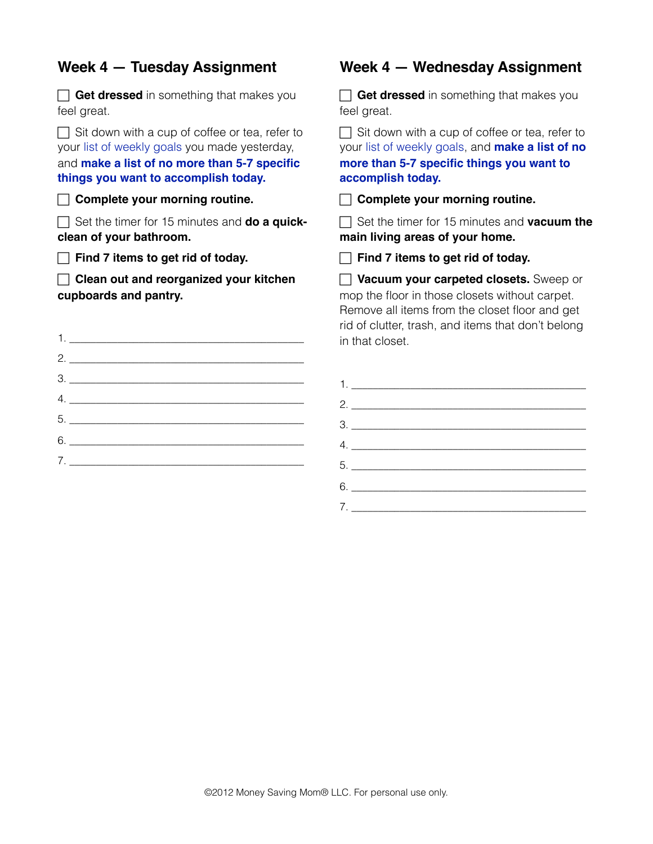#### **Week 4 — Tuesday Assignment Get dressed** in something that makes you feel great.  $\Box$  Sit down with a cup of coffee or tea, refer to your [list of weekly goals](http://moneysavingmom.com/2012/04/10-weekly-goals-11.html) you made yesterday, and **[make a list of no more than 5-7 specific](http://moneysavingmom.com/2012/02/my-top-3-tips-for-getting-stuff-done.html)  [things you want to accomplish today.](http://moneysavingmom.com/2012/02/my-top-3-tips-for-getting-stuff-done.html) Complete your morning routine.** Set the timer for 15 minutes and **do a quickclean of your bathroom.** Find 7 items to get rid of today. **Clean out and reorganized your kitchen cupboards and pantry.** 1.  $\blacksquare$  $2.$ 3. \_\_\_\_\_\_\_\_\_\_\_\_\_\_\_\_\_\_\_\_\_\_\_\_\_\_\_\_\_\_\_\_\_\_\_\_\_\_\_\_\_\_\_\_  $4.$ 5. \_\_\_\_\_\_\_\_\_\_\_\_\_\_\_\_\_\_\_\_\_\_\_\_\_\_\_\_\_\_\_\_\_\_\_\_\_\_\_\_\_\_\_\_ 6. \_\_\_\_\_\_\_\_\_\_\_\_\_\_\_\_\_\_\_\_\_\_\_\_\_\_\_\_\_\_\_\_\_\_\_\_\_\_\_\_\_\_\_\_ **Week 4 — Wednesday Assignment Get dressed** in something that makes you feel great.  $\Box$  Sit down with a cup of coffee or tea, refer to your [list of weekly goals](http://moneysavingmom.com/2012/04/10-weekly-goals-11.html), and **[make a list of no](http://moneysavingmom.com/2012/02/my-top-3-tips-for-getting-stuff-done.html)  [more than 5-7 specific things you want to](http://moneysavingmom.com/2012/02/my-top-3-tips-for-getting-stuff-done.html)  [accomplish today.](http://moneysavingmom.com/2012/02/my-top-3-tips-for-getting-stuff-done.html) Complete your morning routine.** Set the timer for 15 minutes and **vacuum the main living areas of your home. Find 7 items to get rid of today. Vacuum your carpeted closets.** Sweep or mop the floor in those closets without carpet. Remove all items from the closet floor and get rid of clutter, trash, and items that don't belong in that closet.  $1.$ 2. \_\_\_\_\_\_\_\_\_\_\_\_\_\_\_\_\_\_\_\_\_\_\_\_\_\_\_\_\_\_\_\_\_\_\_\_\_\_\_\_\_\_\_\_ 3. <u>\_\_\_\_\_\_\_\_\_\_\_\_\_\_\_\_\_\_\_\_\_\_\_\_\_\_\_\_\_\_\_\_\_\_</u> 4. \_\_\_\_\_\_\_\_\_\_\_\_\_\_\_\_\_\_\_\_\_\_\_\_\_\_\_\_\_\_\_\_\_\_\_\_\_\_\_\_\_\_\_\_

5. \_\_\_\_\_\_\_\_\_\_\_\_\_\_\_\_\_\_\_\_\_\_\_\_\_\_\_\_\_\_\_\_\_\_\_\_\_\_\_\_\_\_\_\_  $6.$ 

7. \_\_\_\_\_\_\_\_\_\_\_\_\_\_\_\_\_\_\_\_\_\_\_\_\_\_\_\_\_\_\_\_\_\_\_\_\_\_\_\_\_\_\_\_

 $7.$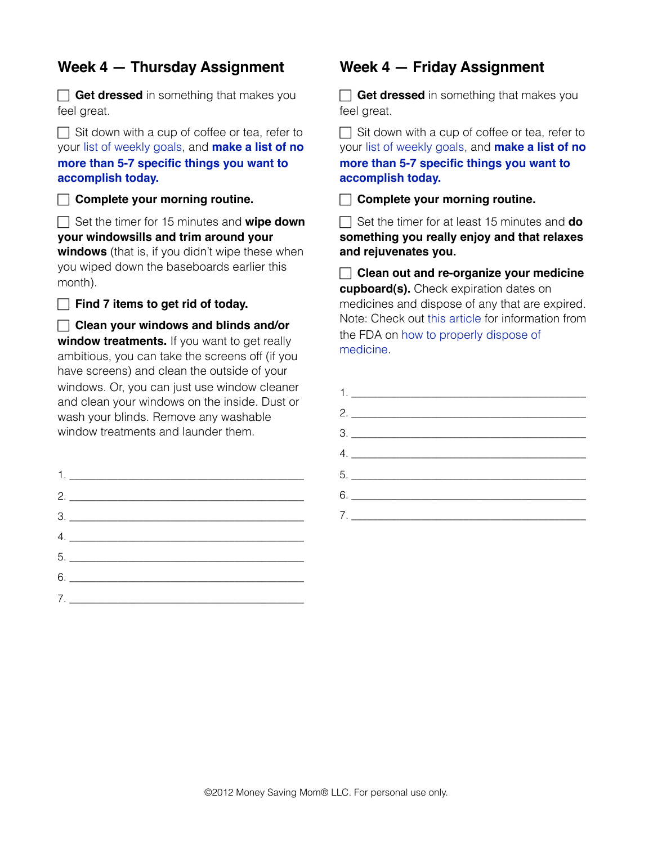#### **Week 4 — Thursday Assignment**

**Get dressed** in something that makes you feel great.

 $\Box$  Sit down with a cup of coffee or tea, refer to your [list of weekly goals,](http://moneysavingmom.com/2012/04/10-weekly-goals-11.html) and **[make a list of no](http://moneysavingmom.com/2012/02/my-top-3-tips-for-getting-stuff-done.html)  [more than 5-7 specific things you want to](http://moneysavingmom.com/2012/02/my-top-3-tips-for-getting-stuff-done.html)  [accomplish today.](http://moneysavingmom.com/2012/02/my-top-3-tips-for-getting-stuff-done.html)**

**Complete your morning routine.**

 Set the timer for 15 minutes and **wipe down your windowsills and trim around your** 

**windows** (that is, if you didn't wipe these when you wiped down the baseboards earlier this month).

**Find 7 items to get rid of today.** 

 **Clean your windows and blinds and/or window treatments.** If you want to get really ambitious, you can take the screens off (if you have screens) and clean the outside of your windows. Or, you can just use window cleaner and clean your windows on the inside. Dust or wash your blinds. Remove any washable window treatments and launder them.

| $\begin{array}{c} \n3. \begin{array}{ccc} \n\end{array} \n\end{array}$ |
|------------------------------------------------------------------------|
|                                                                        |
|                                                                        |
| $6. \underline{\hspace{1.5cm}}$                                        |
|                                                                        |
|                                                                        |

#### **Week 4 — Friday Assignment**

**Get dressed** in something that makes you feel great.

 $\Box$  Sit down with a cup of coffee or tea, refer to your [list of weekly goals](http://moneysavingmom.com/2012/04/10-weekly-goals-11.html), and **[make a list of no](http://moneysavingmom.com/2012/02/my-top-3-tips-for-getting-stuff-done.html)  [more than 5-7 specific things you want to](http://moneysavingmom.com/2012/02/my-top-3-tips-for-getting-stuff-done.html)  [accomplish today.](http://moneysavingmom.com/2012/02/my-top-3-tips-for-getting-stuff-done.html)**

**Complete your morning routine.**

 Set the timer for at least 15 minutes and **do something you really enjoy and that relaxes and rejuvenates you.**

 **Clean out and re-organize your medicine cupboard(s).** Check expiration dates on medicines and dispose of any that are expired. Note: Check out [this article](http://www.fda.gov/forconsumers/consumerupdates/ucm101653.htm) for information from the FDA on [how to properly dispose of](http://www.fda.gov/forconsumers/consumerupdates/ucm101653.htm)  [medicine.](http://www.fda.gov/forconsumers/consumerupdates/ucm101653.htm)

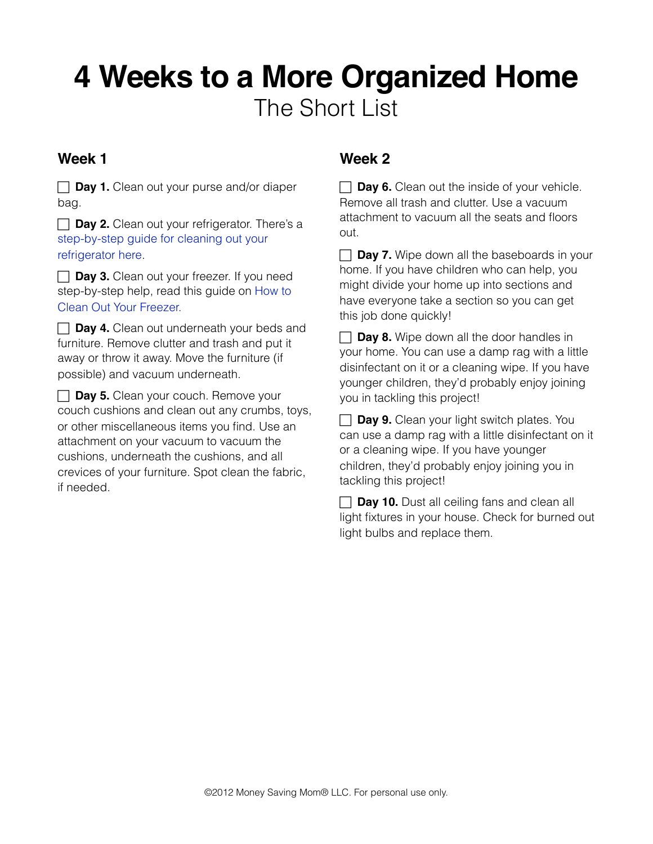# **4 Weeks to a More Organized Home** The Short List

#### **Week 1**

**Day 1.** Clean out your purse and/or diaper bag.

**Day 2.** Clean out your refrigerator. There's a [step-by-step guide for cleaning out your](http://www.housecleaningcentral.com/en/cleaning-tips/kitchen/refrigerator-cleaning.html)  [refrigerator here](http://www.housecleaningcentral.com/en/cleaning-tips/kitchen/refrigerator-cleaning.html).

**Day 3.** Clean out your freezer. If you need step-by-step help, read this guide on [How to](http://www.howtocleanstuff.net/how-to-clean-a-freezer/)  [Clean Out Your Freezer.](http://www.howtocleanstuff.net/how-to-clean-a-freezer/)

**Day 4.** Clean out underneath your beds and furniture. Remove clutter and trash and put it away or throw it away. Move the furniture (if possible) and vacuum underneath.

**Day 5.** Clean your couch. Remove your couch cushions and clean out any crumbs, toys, or other miscellaneous items you find. Use an attachment on your vacuum to vacuum the cushions, underneath the cushions, and all crevices of your furniture. Spot clean the fabric, if needed.

### **Week 2**

**Day 6.** Clean out the inside of your vehicle. Remove all trash and clutter. Use a vacuum attachment to vacuum all the seats and floors out.

 $\Box$  **Day 7.** Wipe down all the baseboards in your home. If you have children who can help, you might divide your home up into sections and have everyone take a section so you can get this job done quickly!

**Day 8.** Wipe down all the door handles in your home. You can use a damp rag with a little disinfectant on it or a cleaning wipe. If you have younger children, they'd probably enjoy joining you in tackling this project!

**Day 9.** Clean your light switch plates. You can use a damp rag with a little disinfectant on it or a cleaning wipe. If you have younger children, they'd probably enjoy joining you in tackling this project!

**Day 10.** Dust all ceiling fans and clean all light fixtures in your house. Check for burned out light bulbs and replace them.